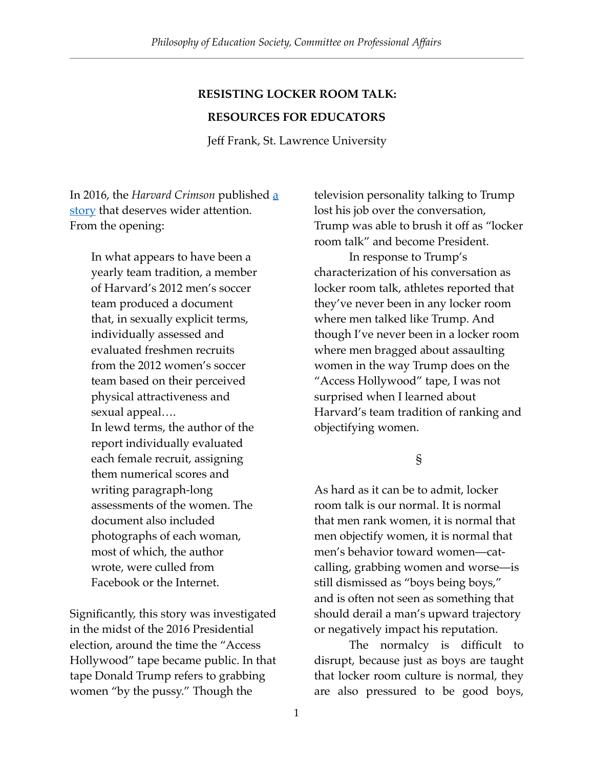# **RESISTING LOCKER ROOM TALK:**

#### **RESOURCES FOR EDUCATORS**

Jeff Frank, St. Lawrence University

In 2016, the *Harvard Crimson* published [a](https://www.thecrimson.com/article/2016/10/25/harvard-mens-soccer-2012-report/)  [story](https://www.thecrimson.com/article/2016/10/25/harvard-mens-soccer-2012-report/) that deserves wider attention. From the opening:

> In what appears to have been a yearly team tradition, a member of Harvard's 2012 men's soccer team produced a document that, in sexually explicit terms, individually assessed and evaluated freshmen recruits from the 2012 women's soccer team based on their perceived physical attractiveness and sexual appeal…. In lewd terms, the author of the report individually evaluated each female recruit, assigning them numerical scores and writing paragraph-long assessments of the women. The document also included photographs of each woman, most of which, the author wrote, were culled from Facebook or the Internet.

Significantly, this story was investigated in the midst of the 2016 Presidential election, around the time the "Access Hollywood" tape became public. In that tape Donald Trump refers to grabbing women "by the pussy." Though the

television personality talking to Trump lost his job over the conversation, Trump was able to brush it off as "locker room talk" and become President.

In response to Trump's characterization of his conversation as locker room talk, athletes reported that they've never been in any locker room where men talked like Trump. And though I've never been in a locker room where men bragged about assaulting women in the way Trump does on the "Access Hollywood" tape, I was not surprised when I learned about Harvard's team tradition of ranking and objectifying women.

§

As hard as it can be to admit, locker room talk is our normal. It is normal that men rank women, it is normal that men objectify women, it is normal that men's behavior toward women—catcalling, grabbing women and worse—is still dismissed as "boys being boys," and is often not seen as something that should derail a man's upward trajectory or negatively impact his reputation.

The normalcy is difficult to disrupt, because just as boys are taught that locker room culture is normal, they are also pressured to be good boys,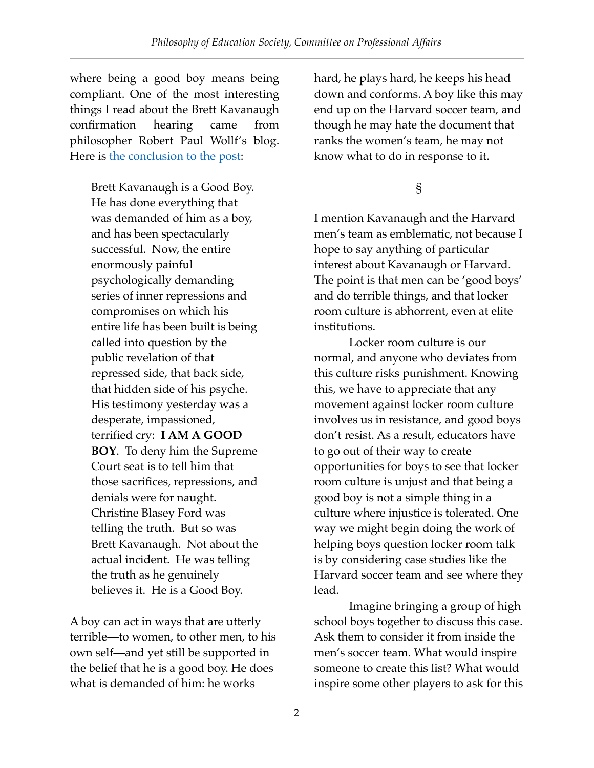where being a good boy means being compliant. One of the most interesting things I read about the Brett Kavanaugh confirmation hearing came from philosopher Robert Paul Wollf's blog. Here is [the conclusion to the post](https://robertpaulwolff.blogspot.com/2018/09/i-am-good-boy.html):

Brett Kavanaugh is a Good Boy. He has done everything that was demanded of him as a boy, and has been spectacularly successful. Now, the entire enormously painful psychologically demanding series of inner repressions and compromises on which his entire life has been built is being called into question by the public revelation of that repressed side, that back side, that hidden side of his psyche. His testimony yesterday was a desperate, impassioned, terrified cry: **I AM A GOOD BOY**. To deny him the Supreme Court seat is to tell him that those sacrifices, repressions, and denials were for naught. Christine Blasey Ford was telling the truth. But so was Brett Kavanaugh. Not about the actual incident. He was telling the truth as he genuinely believes it. He is a Good Boy.

A boy can act in ways that are utterly terrible—to women, to other men, to his own self—and yet still be supported in the belief that he is a good boy. He does what is demanded of him: he works

hard, he plays hard, he keeps his head down and conforms. A boy like this may end up on the Harvard soccer team, and though he may hate the document that ranks the women's team, he may not know what to do in response to it.

## §

I mention Kavanaugh and the Harvard men's team as emblematic, not because I hope to say anything of particular interest about Kavanaugh or Harvard. The point is that men can be 'good boys' and do terrible things, and that locker room culture is abhorrent, even at elite institutions.

Locker room culture is our normal, and anyone who deviates from this culture risks punishment. Knowing this, we have to appreciate that any movement against locker room culture involves us in resistance, and good boys don't resist. As a result, educators have to go out of their way to create opportunities for boys to see that locker room culture is unjust and that being a good boy is not a simple thing in a culture where injustice is tolerated. One way we might begin doing the work of helping boys question locker room talk is by considering case studies like the Harvard soccer team and see where they lead.

Imagine bringing a group of high school boys together to discuss this case. Ask them to consider it from inside the men's soccer team. What would inspire someone to create this list? What would inspire some other players to ask for this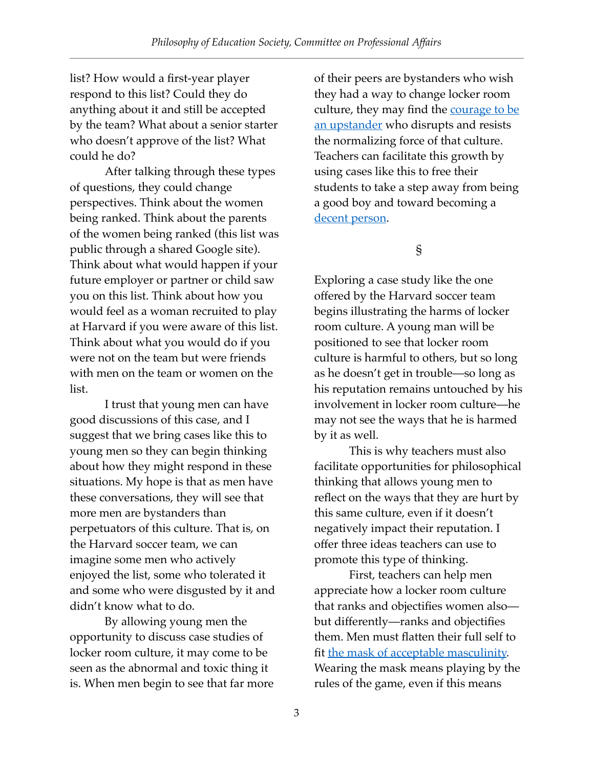list? How would a first-year player respond to this list? Could they do anything about it and still be accepted by the team? What about a senior starter who doesn't approve of the list? What could he do?

After talking through these types of questions, they could change perspectives. Think about the women being ranked. Think about the parents of the women being ranked (this list was public through a shared Google site). Think about what would happen if your future employer or partner or child saw you on this list. Think about how you would feel as a woman recruited to play at Harvard if you were aware of this list. Think about what you would do if you were not on the team but were friends with men on the team or women on the list.

I trust that young men can have good discussions of this case, and I suggest that we bring cases like this to young men so they can begin thinking about how they might respond in these situations. My hope is that as men have these conversations, they will see that more men are bystanders than perpetuators of this culture. That is, on the Harvard soccer team, we can imagine some men who actively enjoyed the list, some who tolerated it and some who were disgusted by it and didn't know what to do.

By allowing young men the opportunity to discuss case studies of locker room culture, it may come to be seen as the abnormal and toxic thing it is. When men begin to see that far more of their peers are bystanders who wish they had a way to change locker room culture, they may find the courage to be [an upstander](https://www.syracuse.com/opinion/index.ssf/2018/10/lets_teach_our_sons_to_be_upstanders_for_women_commentary.html) who disrupts and resists the normalizing force of that culture. Teachers can facilitate this growth by using cases like this to free their students to take a step away from being a good boy and toward becoming a [decent person](https://ojs.education.illinois.edu/index.php/pes/article/view/1789/499).

### §

Exploring a case study like the one offered by the Harvard soccer team begins illustrating the harms of locker room culture. A young man will be positioned to see that locker room culture is harmful to others, but so long as he doesn't get in trouble—so long as his reputation remains untouched by his involvement in locker room culture—he may not see the ways that he is harmed by it as well.

This is why teachers must also facilitate opportunities for philosophical thinking that allows young men to reflect on the ways that they are hurt by this same culture, even if it doesn't negatively impact their reputation. I offer three ideas teachers can use to promote this type of thinking.

First, teachers can help men appreciate how a locker room culture that ranks and objectifies women also but differently—ranks and objectifies them. Men must flatten their full self to fit [the mask of acceptable masculinity.](http://therepresentationproject.org/film/the-mask-you-live-in-film/) Wearing the mask means playing by the rules of the game, even if this means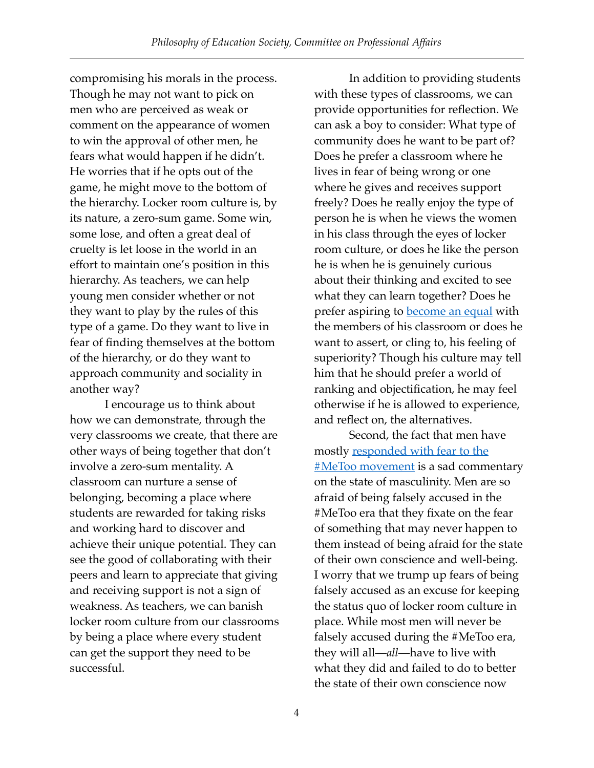compromising his morals in the process. Though he may not want to pick on men who are perceived as weak or comment on the appearance of women to win the approval of other men, he fears what would happen if he didn't. He worries that if he opts out of the game, he might move to the bottom of the hierarchy. Locker room culture is, by its nature, a zero-sum game. Some win, some lose, and often a great deal of cruelty is let loose in the world in an effort to maintain one's position in this hierarchy. As teachers, we can help young men consider whether or not they want to play by the rules of this type of a game. Do they want to live in fear of finding themselves at the bottom of the hierarchy, or do they want to approach community and sociality in another way?

I encourage us to think about how we can demonstrate, through the very classrooms we create, that there are other ways of being together that don't involve a zero-sum mentality. A classroom can nurture a sense of belonging, becoming a place where students are rewarded for taking risks and working hard to discover and achieve their unique potential. They can see the good of collaborating with their peers and learn to appreciate that giving and receiving support is not a sign of weakness. As teachers, we can banish locker room culture from our classrooms by being a place where every student can get the support they need to be successful.

In addition to providing students with these types of classrooms, we can provide opportunities for reflection. We can ask a boy to consider: What type of community does he want to be part of? Does he prefer a classroom where he lives in fear of being wrong or one where he gives and receives support freely? Does he really enjoy the type of person he is when he views the women in his class through the eyes of locker room culture, or does he like the person he is when he is genuinely curious about their thinking and excited to see what they can learn together? Does he prefer aspiring to **become an equal** with the members of his classroom or does he want to assert, or cling to, his feeling of superiority? Though his culture may tell him that he should prefer a world of ranking and objectification, he may feel otherwise if he is allowed to experience, and reflect on, the alternatives.

Second, the fact that men have [mostly responded with fear to the](https://www.edweek.org/ew/articles/2018/10/12/we-shouldnt-teach-young-men-to-fear.html)  **#MeToo movement** is a sad commentary on the state of masculinity. Men are so afraid of being falsely accused in the #MeToo era that they fixate on the fear of something that may never happen to them instead of being afraid for the state of their own conscience and well-being. I worry that we trump up fears of being falsely accused as an excuse for keeping the status quo of locker room culture in place. While most men will never be falsely accused during the #MeToo era, they will all—*all*—have to live with what they did and failed to do to better the state of their own conscience now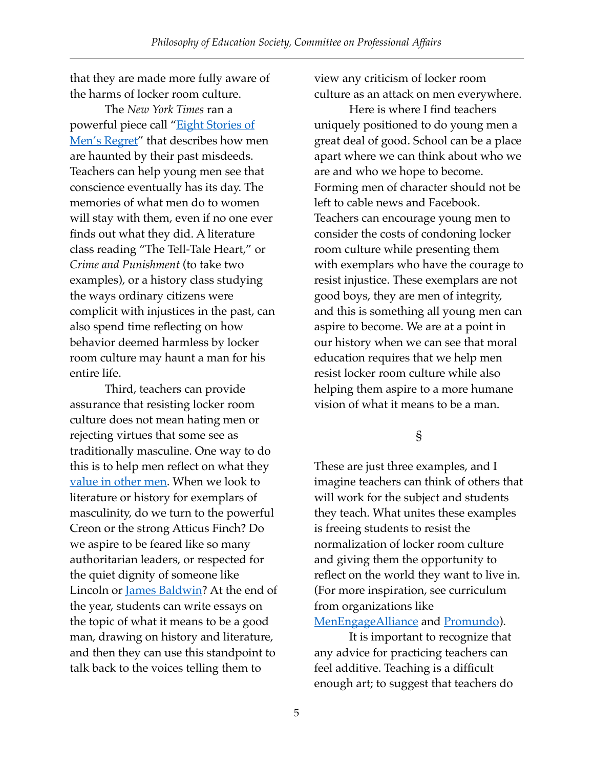that they are made more fully aware of the harms of locker room culture.

The *New York Times* ran a powerful piece call "[Eight Stories of](https://www.nytimes.com/interactive/2018/10/18/opinion/men-metoo-high-school.html)  [Men's Regret](https://www.nytimes.com/interactive/2018/10/18/opinion/men-metoo-high-school.html)" that describes how men are haunted by their past misdeeds. Teachers can help young men see that conscience eventually has its day. The memories of what men do to women will stay with them, even if no one ever finds out what they did. A literature class reading "The Tell-Tale Heart," or *Crime and Punishment* (to take two examples), or a history class studying the ways ordinary citizens were complicit with injustices in the past, can also spend time reflecting on how behavior deemed harmless by locker room culture may haunt a man for his entire life.

Third, teachers can provide assurance that resisting locker room culture does not mean hating men or rejecting virtues that some see as traditionally masculine. One way to do this is to help men reflect on what they [value in other men.](https://www.nytimes.com/2018/04/12/learning/lesson-plans/boys-to-men-teaching-and-learning-about-masculinity-in-an-age-of-change.html) When we look to literature or history for exemplars of masculinity, do we turn to the powerful Creon or the strong Atticus Finch? Do we aspire to be feared like so many authoritarian leaders, or respected for the quiet dignity of someone like Lincoln or [James Baldwin](https://www.tcrecord.org/content.asp?contentid=18050)? At the end of the year, students can write essays on the topic of what it means to be a good man, drawing on history and literature, and then they can use this standpoint to talk back to the voices telling them to

view any criticism of locker room culture as an attack on men everywhere.

Here is where I find teachers uniquely positioned to do young men a great deal of good. School can be a place apart where we can think about who we are and who we hope to become. Forming men of character should not be left to cable news and Facebook. Teachers can encourage young men to consider the costs of condoning locker room culture while presenting them with exemplars who have the courage to resist injustice. These exemplars are not good boys, they are men of integrity, and this is something all young men can aspire to become. We are at a point in our history when we can see that moral education requires that we help men resist locker room culture while also helping them aspire to a more humane vision of what it means to be a man.

§

These are just three examples, and I imagine teachers can think of others that will work for the subject and students they teach. What unites these examples is freeing students to resist the normalization of locker room culture and giving them the opportunity to reflect on the world they want to live in. (For more inspiration, see curriculum from organizations like [MenEngageAlliance](http://menengage.org/wp-content/uploads/2018/02/MenEngage_Accountability-Toolkit_English_WEB.pdf) and [Promundo\)](https://promundoglobal.org/wp-content/uploads/2018/06/Manhood-2.0-Curriculum.pdf).

It is important to recognize that any advice for practicing teachers can feel additive. Teaching is a difficult enough art; to suggest that teachers do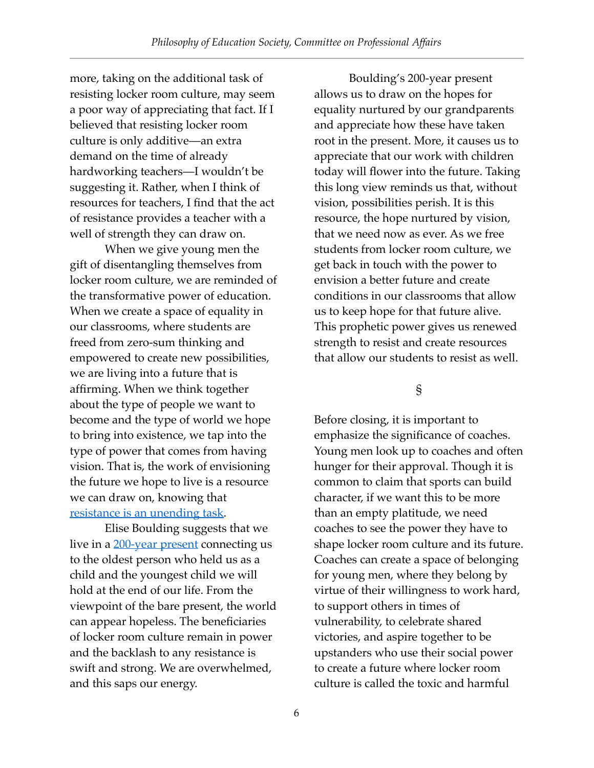more, taking on the additional task of resisting locker room culture, may seem a poor way of appreciating that fact. If I believed that resisting locker room culture is only additive—an extra demand on the time of already hardworking teachers—I wouldn't be suggesting it. Rather, when I think of resources for teachers, I find that the act of resistance provides a teacher with a well of strength they can draw on.

When we give young men the gift of disentangling themselves from locker room culture, we are reminded of the transformative power of education. When we create a space of equality in our classrooms, where students are freed from zero-sum thinking and empowered to create new possibilities, we are living into a future that is affirming. When we think together about the type of people we want to become and the type of world we hope to bring into existence, we tap into the type of power that comes from having vision. That is, the work of envisioning the future we hope to live is a resource we can draw on, knowing that [resistance is an unending task.](https://link.springer.com/epdf/10.1007/s11217-018-9610-y?author_access_token=Z_QittMSh_NYdUANFb61q_e4RwlQNchNByi7wbcMAY7uKqBbM2pq7RJ6qWEh_axM5nNJKfagsiUwyuMdMwi45GNyWuxwnqOn8txCrgjP5pvUf0N-1E2LNFqJGH4U_ZV653-kwOErNPZTGD8oSsnioA%253D%253D)

Elise Boulding suggests that we live in a [200-year present](https://vanierinstitute.ca/wp-content/uploads/2015/08/Boulding-EN.pdf) connecting us to the oldest person who held us as a child and the youngest child we will hold at the end of our life. From the viewpoint of the bare present, the world can appear hopeless. The beneficiaries of locker room culture remain in power and the backlash to any resistance is swift and strong. We are overwhelmed, and this saps our energy.

Boulding's 200-year present allows us to draw on the hopes for equality nurtured by our grandparents and appreciate how these have taken root in the present. More, it causes us to appreciate that our work with children today will flower into the future. Taking this long view reminds us that, without vision, possibilities perish. It is this resource, the hope nurtured by vision, that we need now as ever. As we free students from locker room culture, we get back in touch with the power to envision a better future and create conditions in our classrooms that allow us to keep hope for that future alive. This prophetic power gives us renewed strength to resist and create resources that allow our students to resist as well.

### §

Before closing, it is important to emphasize the significance of coaches. Young men look up to coaches and often hunger for their approval. Though it is common to claim that sports can build character, if we want this to be more than an empty platitude, we need coaches to see the power they have to shape locker room culture and its future. Coaches can create a space of belonging for young men, where they belong by virtue of their willingness to work hard, to support others in times of vulnerability, to celebrate shared victories, and aspire together to be upstanders who use their social power to create a future where locker room culture is called the toxic and harmful